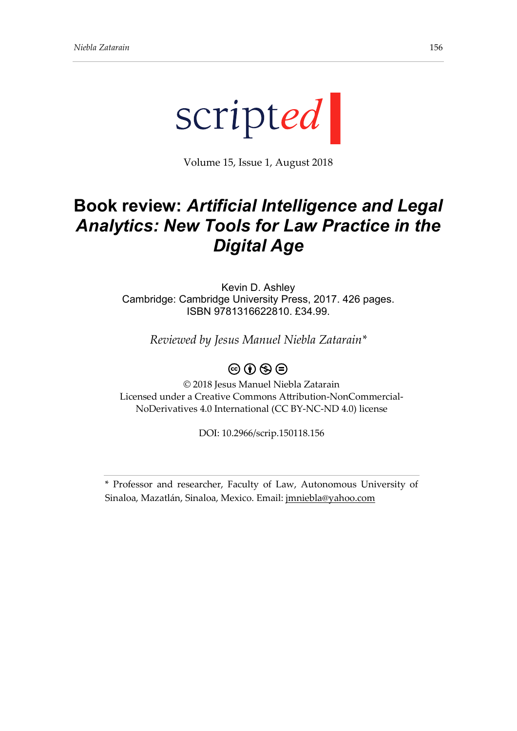

Volume 15, Issue 1, August 2018

## **Book review:** *Artificial Intelligence and Legal Analytics: New Tools for Law Practice in the Digital Age*

Kevin D. Ashley Cambridge: Cambridge University Press, 2017. 426 pages. ISBN 9781316622810. £34.99.

*Reviewed by Jesus Manuel Niebla Zatarain\**

## $\circledcirc$  (i)  $\circledcirc$   $\circledcirc$

© 2018 Jesus Manuel Niebla Zatarain Licensed under a Creative Commons Attribution-NonCommercial-NoDerivatives 4.0 International (CC BY-NC-ND 4.0) license

DOI: 10.2966/scrip.150118.156

<sup>\*</sup> Professor and researcher, Faculty of Law, Autonomous University of Sinaloa, Mazatlán, Sinaloa, Mexico. Email: [jmniebla@yahoo.com](mailto:jmniebla@yahoo.com)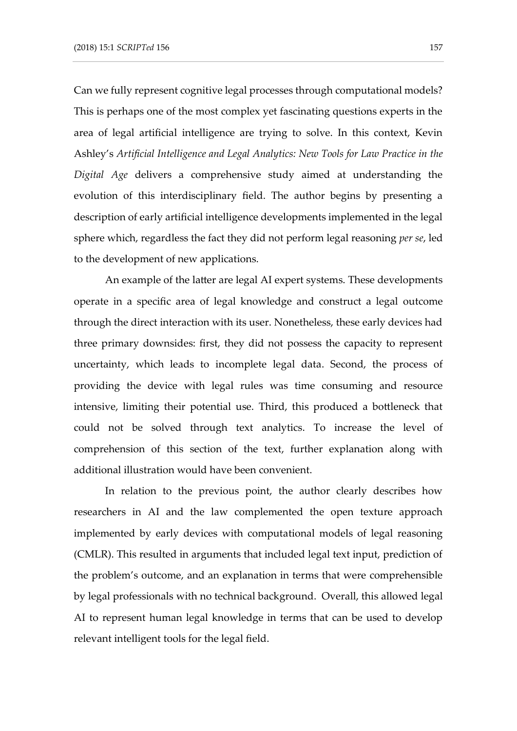Can we fully represent cognitive legal processes through computational models? This is perhaps one of the most complex yet fascinating questions experts in the area of legal artificial intelligence are trying to solve. In this context, Kevin Ashley's *Artificial Intelligence and Legal Analytics: New Tools for Law Practice in the Digital Age* delivers a comprehensive study aimed at understanding the evolution of this interdisciplinary field. The author begins by presenting a description of early artificial intelligence developments implemented in the legal sphere which, regardless the fact they did not perform legal reasoning *per se*, led to the development of new applications.

An example of the latter are legal AI expert systems. These developments operate in a specific area of legal knowledge and construct a legal outcome through the direct interaction with its user. Nonetheless, these early devices had three primary downsides: first, they did not possess the capacity to represent uncertainty, which leads to incomplete legal data. Second, the process of providing the device with legal rules was time consuming and resource intensive, limiting their potential use. Third, this produced a bottleneck that could not be solved through text analytics. To increase the level of comprehension of this section of the text, further explanation along with additional illustration would have been convenient.

In relation to the previous point, the author clearly describes how researchers in AI and the law complemented the open texture approach implemented by early devices with computational models of legal reasoning (CMLR). This resulted in arguments that included legal text input, prediction of the problem's outcome, and an explanation in terms that were comprehensible by legal professionals with no technical background. Overall, this allowed legal AI to represent human legal knowledge in terms that can be used to develop relevant intelligent tools for the legal field.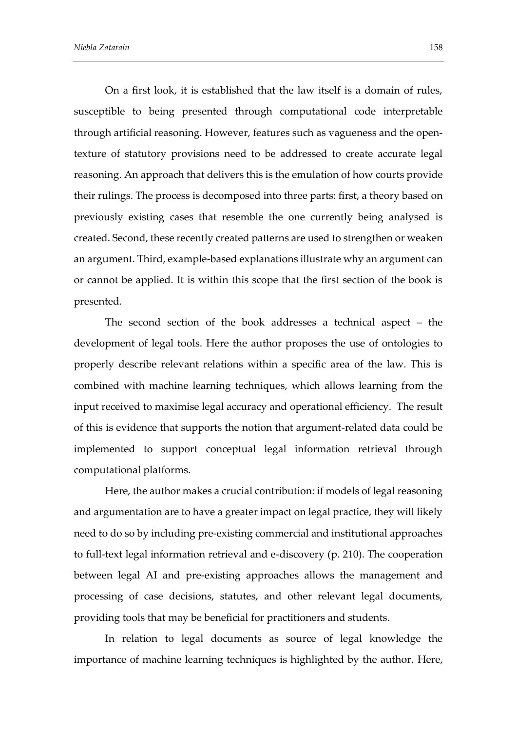On a first look, it is established that the law itself is a domain of rules, susceptible to being presented through computational code interpretable through artificial reasoning. However, features such as vagueness and the opentexture of statutory provisions need to be addressed to create accurate legal reasoning. An approach that delivers this is the emulation of how courts provide their rulings. The process is decomposed into three parts: first, a theory based on previously existing cases that resemble the one currently being analysed is created. Second, these recently created patterns are used to strengthen or weaken an argument. Third, example-based explanations illustrate why an argument can or cannot be applied. It is within this scope that the first section of the book is presented.

The second section of the book addresses a technical aspect – the development of legal tools. Here the author proposes the use of ontologies to properly describe relevant relations within a specific area of the law. This is combined with machine learning techniques, which allows learning from the input received to maximise legal accuracy and operational efficiency. The result of this is evidence that supports the notion that argument-related data could be implemented to support conceptual legal information retrieval through computational platforms.

Here, the author makes a crucial contribution: if models of legal reasoning and argumentation are to have a greater impact on legal practice, they will likely need to do so by including pre-existing commercial and institutional approaches to full-text legal information retrieval and e-discovery (p. 210). The cooperation between legal AI and pre-existing approaches allows the management and processing of case decisions, statutes, and other relevant legal documents, providing tools that may be beneficial for practitioners and students.

In relation to legal documents as source of legal knowledge the importance of machine learning techniques is highlighted by the author. Here,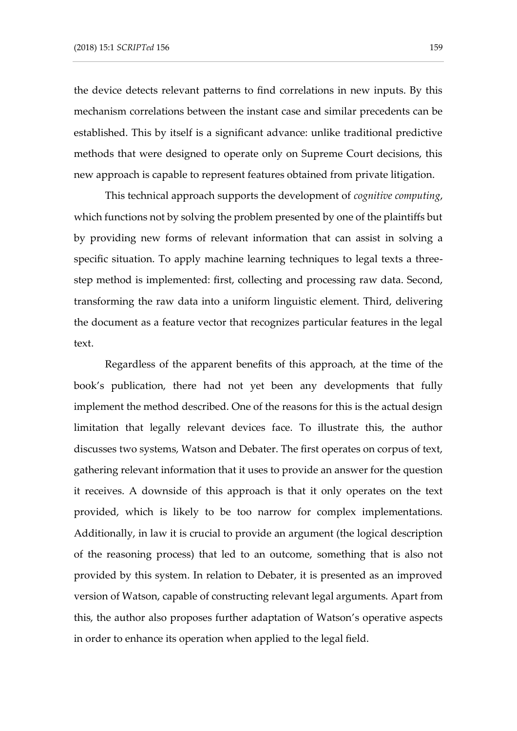the device detects relevant patterns to find correlations in new inputs. By this mechanism correlations between the instant case and similar precedents can be established. This by itself is a significant advance: unlike traditional predictive methods that were designed to operate only on Supreme Court decisions, this new approach is capable to represent features obtained from private litigation.

This technical approach supports the development of *cognitive computing*, which functions not by solving the problem presented by one of the plaintiffs but by providing new forms of relevant information that can assist in solving a specific situation. To apply machine learning techniques to legal texts a threestep method is implemented: first, collecting and processing raw data. Second, transforming the raw data into a uniform linguistic element. Third, delivering the document as a feature vector that recognizes particular features in the legal text.

Regardless of the apparent benefits of this approach, at the time of the book's publication, there had not yet been any developments that fully implement the method described. One of the reasons for this is the actual design limitation that legally relevant devices face. To illustrate this, the author discusses two systems, Watson and Debater. The first operates on corpus of text, gathering relevant information that it uses to provide an answer for the question it receives. A downside of this approach is that it only operates on the text provided, which is likely to be too narrow for complex implementations. Additionally, in law it is crucial to provide an argument (the logical description of the reasoning process) that led to an outcome, something that is also not provided by this system. In relation to Debater, it is presented as an improved version of Watson, capable of constructing relevant legal arguments. Apart from this, the author also proposes further adaptation of Watson's operative aspects in order to enhance its operation when applied to the legal field.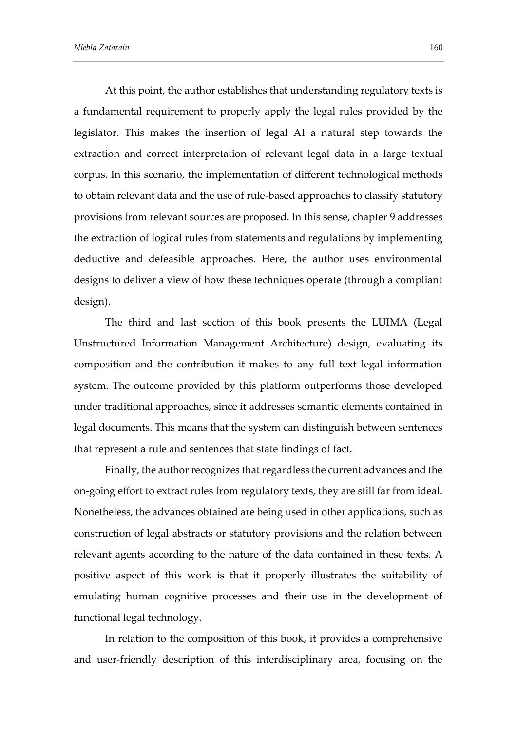At this point, the author establishes that understanding regulatory texts is a fundamental requirement to properly apply the legal rules provided by the legislator. This makes the insertion of legal AI a natural step towards the extraction and correct interpretation of relevant legal data in a large textual corpus. In this scenario, the implementation of different technological methods to obtain relevant data and the use of rule-based approaches to classify statutory provisions from relevant sources are proposed. In this sense, chapter 9 addresses the extraction of logical rules from statements and regulations by implementing deductive and defeasible approaches. Here, the author uses environmental designs to deliver a view of how these techniques operate (through a compliant design).

The third and last section of this book presents the LUIMA (Legal Unstructured Information Management Architecture) design, evaluating its composition and the contribution it makes to any full text legal information system. The outcome provided by this platform outperforms those developed under traditional approaches, since it addresses semantic elements contained in legal documents. This means that the system can distinguish between sentences that represent a rule and sentences that state findings of fact.

Finally, the author recognizes that regardless the current advances and the on-going effort to extract rules from regulatory texts, they are still far from ideal. Nonetheless, the advances obtained are being used in other applications, such as construction of legal abstracts or statutory provisions and the relation between relevant agents according to the nature of the data contained in these texts. A positive aspect of this work is that it properly illustrates the suitability of emulating human cognitive processes and their use in the development of functional legal technology.

In relation to the composition of this book, it provides a comprehensive and user-friendly description of this interdisciplinary area, focusing on the